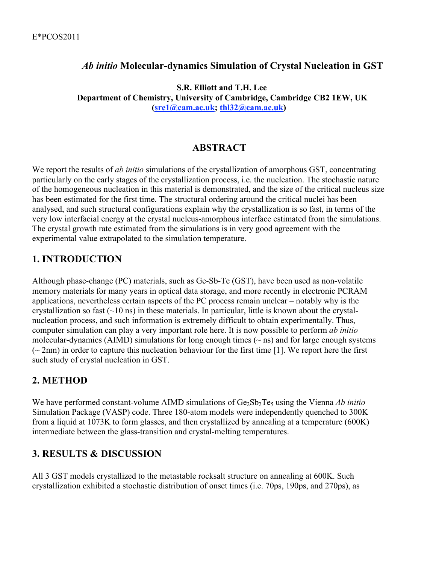### *Ab initio* **Molecular-dynamics Simulation of Crystal Nucleation in GST**

 **S.R. Elliott and T.H. Lee Department of Chemistry, University of Cambridge, Cambridge CB2 1EW, UK (sre1@cam.ac.uk; thl32@cam.ac.uk)**

#### **ABSTRACT**

We report the results of *ab initio* simulations of the crystallization of amorphous GST, concentrating particularly on the early stages of the crystallization process, i.e. the nucleation. The stochastic nature of the homogeneous nucleation in this material is demonstrated, and the size of the critical nucleus size has been estimated for the first time. The structural ordering around the critical nuclei has been analysed, and such structural configurations explain why the crystallization is so fast, in terms of the very low interfacial energy at the crystal nucleus-amorphous interface estimated from the simulations. The crystal growth rate estimated from the simulations is in very good agreement with the experimental value extrapolated to the simulation temperature.

## **1. INTRODUCTION**

Although phase-change (PC) materials, such as Ge-Sb-Te (GST), have been used as non-volatile memory materials for many years in optical data storage, and more recently in electronic PCRAM applications, nevertheless certain aspects of the PC process remain unclear – notably why is the crystallization so fast  $(\sim 10 \text{ ns})$  in these materials. In particular, little is known about the crystalnucleation process, and such information is extremely difficult to obtain experimentally. Thus, computer simulation can play a very important role here. It is now possible to perform *ab initio* molecular-dynamics (AIMD) simulations for long enough times  $(\sim$  ns) and for large enough systems  $(-2nm)$  in order to capture this nucleation behaviour for the first time [1]. We report here the first such study of crystal nucleation in GST.

## **2. METHOD**

We have performed constant-volume AIMD simulations of Ge<sub>2</sub>Sb<sub>2</sub>Te<sub>5</sub> using the Vienna *Ab initio* Simulation Package (VASP) code. Three 180-atom models were independently quenched to 300K from a liquid at 1073K to form glasses, and then crystallized by annealing at a temperature (600K) intermediate between the glass-transition and crystal-melting temperatures.

## **3. RESULTS & DISCUSSION**

All 3 GST models crystallized to the metastable rocksalt structure on annealing at 600K. Such crystallization exhibited a stochastic distribution of onset times (i.e. 70ps, 190ps, and 270ps), as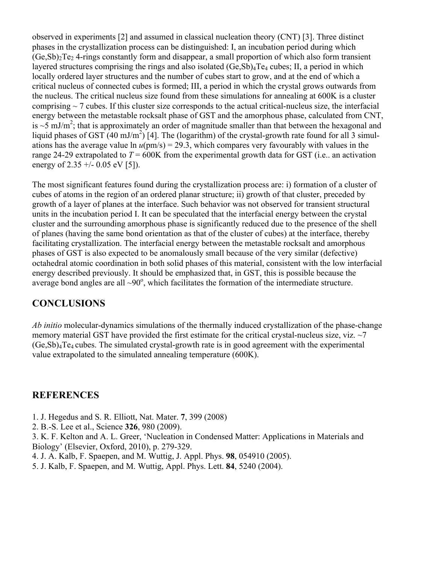observed in experiments [2] and assumed in classical nucleation theory (CNT) [3]. Three distinct phases in the crystallization process can be distinguished: I, an incubation period during which  $(Ge, Sb)$ <sub>2</sub>Te<sub>2</sub> 4-rings constantly form and disappear, a small proportion of which also form transient layered structures comprising the rings and also isolated  $(Ge, Sb)$ <sub>4</sub>Te<sub>4</sub> cubes; II, a period in which locally ordered layer structures and the number of cubes start to grow, and at the end of which a critical nucleus of connected cubes is formed; III, a period in which the crystal grows outwards from the nucleus. The critical nucleus size found from these simulations for annealing at 600K is a cluster comprising  $\sim$  7 cubes. If this cluster size corresponds to the actual critical-nucleus size, the interfacial energy between the metastable rocksalt phase of GST and the amorphous phase, calculated from CNT, is  $\sim$ 5 mJ/m<sup>2</sup>; that is approximately an order of magnitude smaller than that between the hexagonal and liquid phases of GST (40 mJ/m<sup>2</sup>) [4]. The (logarithm) of the crystal-growth rate found for all 3 simulations has the average value  $\ln u(pm/s) = 29.3$ , which compares very favourably with values in the range 24-29 extrapolated to  $T = 600K$  from the experimental growth data for GST (i.e., an activation energy of  $2.35 + (-0.05 \text{ eV} [5])$ .

The most significant features found during the crystallization process are: i) formation of a cluster of cubes of atoms in the region of an ordered planar structure; ii) growth of that cluster, preceded by growth of a layer of planes at the interface. Such behavior was not observed for transient structural units in the incubation period I. It can be speculated that the interfacial energy between the crystal cluster and the surrounding amorphous phase is significantly reduced due to the presence of the shell of planes (having the same bond orientation as that of the cluster of cubes) at the interface, thereby facilitating crystallization. The interfacial energy between the metastable rocksalt and amorphous phases of GST is also expected to be anomalously small because of the very similar (defective) octahedral atomic coordination in both solid phases of this material, consistent with the low interfacial energy described previously. It should be emphasized that, in GST, this is possible because the average bond angles are all  $\sim$ 90 $^{\circ}$ , which facilitates the formation of the intermediate structure.

## **CONCLUSIONS**

*Ab initio* molecular-dynamics simulations of the thermally induced crystallization of the phase-change memory material GST have provided the first estimate for the critical crystal-nucleus size, viz.  $\sim$ 7 (Ge,Sb)4Te4 cubes. The simulated crystal-growth rate is in good agreement with the experimental value extrapolated to the simulated annealing temperature (600K).

#### **REFERENCES**

- 1. J. Hegedus and S. R. Elliott, Nat. Mater. **7**, 399 (2008)
- 2. B.-S. Lee et al., Science **326**, 980 (2009).

3. K. F. Kelton and A. L. Greer, 'Nucleation in Condensed Matter: Applications in Materials and Biology' (Elsevier, Oxford, 2010), p. 279-329.

- 4. J. A. Kalb, F. Spaepen, and M. Wuttig, J. Appl. Phys. **98**, 054910 (2005).
- 5. J. Kalb, F. Spaepen, and M. Wuttig, Appl. Phys. Lett. **84**, 5240 (2004).